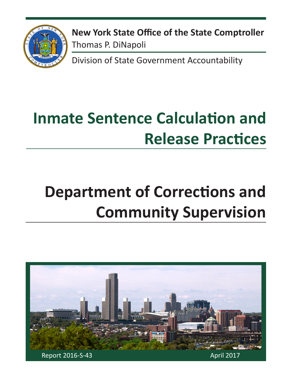

**New York State Office of the State Comptroller** Thomas P. DiNapoli

Division of State Government Accountability

# **Inmate Sentence Calculation and Release Practices**

# **Department of Corrections and Community Supervision**

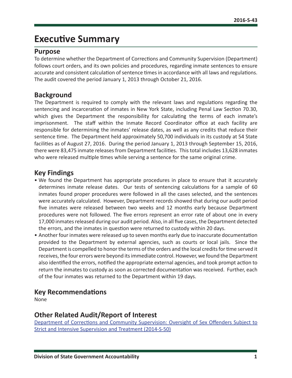## **Executive Summary**

#### **Purpose**

To determine whether the Department of Corrections and Community Supervision (Department) follows court orders, and its own policies and procedures, regarding inmate sentences to ensure accurate and consistent calculation of sentence times in accordance with all laws and regulations. The audit covered the period January 1, 2013 through October 21, 2016.

#### **Background**

The Department is required to comply with the relevant laws and regulations regarding the sentencing and incarceration of inmates in New York State, including Penal Law Section 70.30, which gives the Department the responsibility for calculating the terms of each inmate's imprisonment. The staff within the Inmate Record Coordinator office at each facility are responsible for determining the inmates' release dates, as well as any credits that reduce their sentence time. The Department held approximately 50,700 individuals in its custody at 54 State facilities as of August 27, 2016. During the period January 1, 2013 through September 15, 2016, there were 83,475 inmate releases from Department facilities. This total includes 13,628 inmates who were released multiple times while serving a sentence for the same original crime.

#### **Key Findings**

- We found the Department has appropriate procedures in place to ensure that it accurately determines inmate release dates. Our tests of sentencing calculations for a sample of 60 inmates found proper procedures were followed in all the cases selected, and the sentences were accurately calculated. However, Department records showed that during our audit period five inmates were released between two weeks and 12 months early because Department procedures were not followed. The five errors represent an error rate of about one in every 17,000 inmates released during our audit period. Also, in all five cases, the Department detected the errors, and the inmates in question were returned to custody within 20 days.
- Another four inmates were released up to seven months early due to inaccurate documentation provided to the Department by external agencies, such as courts or local jails. Since the Department is compelled to honor the terms of the orders and the local credits for time served it receives, the four errors were beyond its immediate control. However, we found the Department also identified the errors, notified the appropriate external agencies, and took prompt action to return the inmates to custody as soon as corrected documentation was received. Further, each of the four inmates was returned to the Department within 19 days.

#### **Key Recommendations**

None

#### **Other Related Audit/Report of Interest**

[Department of Corrections and Community Supervision: Oversight of Sex Offenders Subject to](http://osc.state.ny.us/audits/allaudits/093016/14s50.pdf)  [Strict and Intensive Supervision and Treatment \(2014-S-50\)](http://osc.state.ny.us/audits/allaudits/093016/14s50.pdf)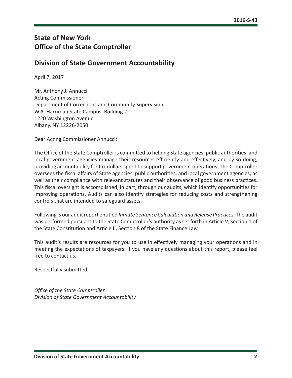## **State of New York Office of the State Comptroller**

#### **Division of State Government Accountability**

April 7, 2017

Mr. Anthony J. Annucci Acting Commissioner Department of Corrections and Community Supervision W.A. Harriman State Campus, Building 2 1220 Washington Avenue Albany, NY 12226-2050

Dear Acting Commissioner Annucci:

The Office of the State Comptroller is committed to helping State agencies, public authorities, and local government agencies manage their resources efficiently and effectively, and by so doing, providing accountability for tax dollars spent to support government operations. The Comptroller oversees the fiscal affairs of State agencies, public authorities, and local government agencies, as well as their compliance with relevant statutes and their observance of good business practices. This fiscal oversight is accomplished, in part, through our audits, which identify opportunities for improving operations. Audits can also identify strategies for reducing costs and strengthening controls that are intended to safeguard assets.

Following is our audit report entitled *Inmate Sentence Calculation and Release Practices*. The audit was performed pursuant to the State Comptroller's authority as set forth in Article V, Section 1 of the State Constitution and Article II, Section 8 of the State Finance Law.

This audit's results are resources for you to use in effectively managing your operations and in meeting the expectations of taxpayers. If you have any questions about this report, please feel free to contact us.

Respectfully submitted,

*Office of the State Comptroller Division of State Government Accountability*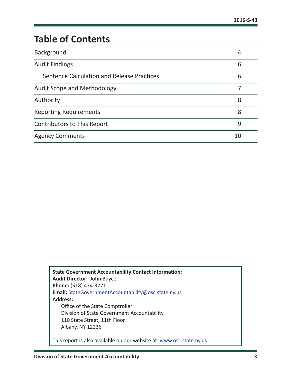# **Table of Contents**

| Background                                 | 4  |  |  |
|--------------------------------------------|----|--|--|
| <b>Audit Findings</b>                      | 6  |  |  |
| Sentence Calculation and Release Practices | 6  |  |  |
| <b>Audit Scope and Methodology</b>         |    |  |  |
| Authority                                  | 8  |  |  |
| <b>Reporting Requirements</b>              | 8  |  |  |
| <b>Contributors to This Report</b>         | 9  |  |  |
| <b>Agency Comments</b>                     | 10 |  |  |

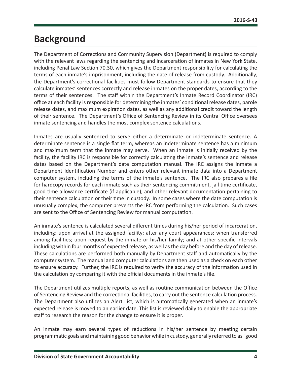## <span id="page-4-0"></span>**Background**

The Department of Corrections and Community Supervision (Department) is required to comply with the relevant laws regarding the sentencing and incarceration of inmates in New York State, including Penal Law Section 70.30, which gives the Department responsibility for calculating the terms of each inmate's imprisonment, including the date of release from custody. Additionally, the Department's correctional facilities must follow Department standards to ensure that they calculate inmates' sentences correctly and release inmates on the proper dates, according to the terms of their sentences. The staff within the Department's Inmate Record Coordinator (IRC) office at each facility is responsible for determining the inmates' conditional release dates, parole release dates, and maximum expiration dates, as well as any additional credit toward the length of their sentence. The Department's Office of Sentencing Review in its Central Office oversees inmate sentencing and handles the most complex sentence calculations.

Inmates are usually sentenced to serve either a determinate or indeterminate sentence. A determinate sentence is a single flat term, whereas an indeterminate sentence has a minimum and maximum term that the inmate may serve. When an inmate is initially received by the facility, the facility IRC is responsible for correctly calculating the inmate's sentence and release dates based on the Department's date computation manual. The IRC assigns the inmate a Department Identification Number and enters other relevant inmate data into a Department computer system, including the terms of the inmate's sentence. The IRC also prepares a file for hardcopy records for each inmate such as their sentencing commitment, jail time certificate, good time allowance certificate (if applicable), and other relevant documentation pertaining to their sentence calculation or their time in custody. In some cases where the date computation is unusually complex, the computer prevents the IRC from performing the calculation. Such cases are sent to the Office of Sentencing Review for manual computation.

An inmate's sentence is calculated several different times during his/her period of incarceration, including: upon arrival at the assigned facility; after any court appearances; when transferred among facilities; upon request by the inmate or his/her family; and at other specific intervals including within four months of expected release, as well as the day before and the day of release. These calculations are performed both manually by Department staff and automatically by the computer system. The manual and computer calculations are then used as a check on each other to ensure accuracy. Further, the IRC is required to verify the accuracy of the information used in the calculation by comparing it with the official documents in the inmate's file.

The Department utilizes multiple reports, as well as routine communication between the Office of Sentencing Review and the correctional facilities, to carry out the sentence calculation process. The Department also utilizes an Alert List, which is automatically generated when an inmate's expected release is moved to an earlier date. This list is reviewed daily to enable the appropriate staff to research the reason for the change to ensure it is proper.

An inmate may earn several types of reductions in his/her sentence by meeting certain programmatic goals and maintaining good behavior while in custody, generally referred to as "good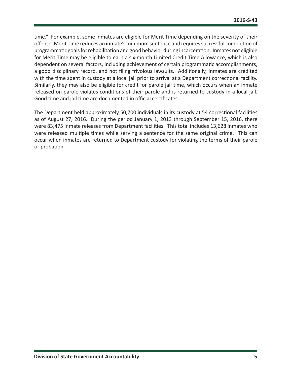time." For example, some inmates are eligible for Merit Time depending on the severity of their offense. Merit Time reduces an inmate's minimum sentence and requires successful completion of programmatic goals for rehabilitation and good behavior during incarceration. Inmates not eligible for Merit Time may be eligible to earn a six-month Limited Credit Time Allowance, which is also dependent on several factors, including achievement of certain programmatic accomplishments, a good disciplinary record, and not filing frivolous lawsuits. Additionally, inmates are credited with the time spent in custody at a local jail prior to arrival at a Department correctional facility. Similarly, they may also be eligible for credit for parole jail time, which occurs when an inmate released on parole violates conditions of their parole and is returned to custody in a local jail. Good time and jail time are documented in official certificates.

The Department held approximately 50,700 individuals in its custody at 54 correctional facilities as of August 27, 2016. During the period January 1, 2013 through September 15, 2016, there were 83,475 inmate releases from Department facilities. This total includes 13,628 inmates who were released multiple times while serving a sentence for the same original crime. This can occur when inmates are returned to Department custody for violating the terms of their parole or probation.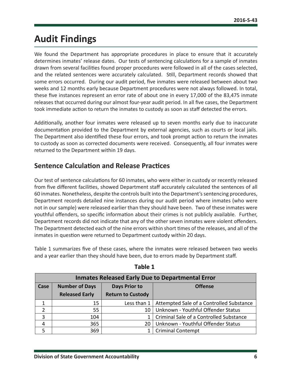## <span id="page-6-0"></span>**Audit Findings**

We found the Department has appropriate procedures in place to ensure that it accurately determines inmates' release dates. Our tests of sentencing calculations for a sample of inmates drawn from several facilities found proper procedures were followed in all of the cases selected, and the related sentences were accurately calculated. Still, Department records showed that some errors occurred. During our audit period, five inmates were released between about two weeks and 12 months early because Department procedures were not always followed. In total, these five instances represent an error rate of about one in every 17,000 of the 83,475 inmate releases that occurred during our almost four-year audit period. In all five cases, the Department took immediate action to return the inmates to custody as soon as staff detected the errors.

Additionally, another four inmates were released up to seven months early due to inaccurate documentation provided to the Department by external agencies, such as courts or local jails. The Department also identified these four errors, and took prompt action to return the inmates to custody as soon as corrected documents were received. Consequently, all four inmates were returned to the Department within 19 days.

## **Sentence Calculation and Release Practices**

Our test of sentence calculations for 60 inmates, who were either in custody or recently released from five different facilities, showed Department staff accurately calculated the sentences of all 60 inmates. Nonetheless, despite the controls built into the Department's sentencing procedures, Department records detailed nine instances during our audit period where inmates (who were not in our sample) were released earlier than they should have been. Two of these inmates were youthful offenders, so specific information about their crimes is not publicly available. Further, Department records did not indicate that any of the other seven inmates were violent offenders. The Department detected each of the nine errors within short times of the releases, and all of the inmates in question were returned to Department custody within 20 days.

Table 1 summarizes five of these cases, where the inmates were released between two weeks and a year earlier than they should have been, due to errors made by Department staff.

| <b>Inmates Released Early Due to Departmental Error</b> |                       |                          |                                          |  |  |  |
|---------------------------------------------------------|-----------------------|--------------------------|------------------------------------------|--|--|--|
| Case                                                    | <b>Number of Days</b> | <b>Days Prior to</b>     | <b>Offense</b>                           |  |  |  |
|                                                         | <b>Released Early</b> | <b>Return to Custody</b> |                                          |  |  |  |
|                                                         | 15                    | Less than 1              | Attempted Sale of a Controlled Substance |  |  |  |
| $\mathcal{D}$                                           | 55                    | 10                       | Unknown - Youthful Offender Status       |  |  |  |
| 3                                                       | 104                   |                          | Criminal Sale of a Controlled Substance  |  |  |  |
|                                                         | 365                   | 20                       | Unknown - Youthful Offender Status       |  |  |  |
|                                                         | 369                   |                          | <b>Criminal Contempt</b>                 |  |  |  |

**Table 1**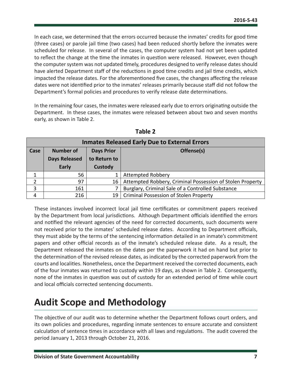<span id="page-7-0"></span>In each case, we determined that the errors occurred because the inmates' credits for good time (three cases) or parole jail time (two cases) had been reduced shortly before the inmates were scheduled for release. In several of the cases, the computer system had not yet been updated to reflect the change at the time the inmates in question were released. However, even though the computer system was not updated timely, procedures designed to verify release dates should have alerted Department staff of the reductions in good time credits and jail time credits, which impacted the release dates. For the aforementioned five cases, the changes affecting the release dates were not identified prior to the inmates' releases primarily because staff did not follow the Department's formal policies and procedures to verify release date determinations.

In the remaining four cases, the inmates were released early due to errors originating outside the Department. In these cases, the inmates were released between about two and seven months early, as shown in Table 2.

| <b>Inmates Released Early Due to External Errors</b> |                      |                   |                                                           |  |  |
|------------------------------------------------------|----------------------|-------------------|-----------------------------------------------------------|--|--|
| Case                                                 | <b>Number of</b>     | <b>Days Prior</b> | Offense(s)                                                |  |  |
|                                                      | <b>Days Released</b> | to Return to      |                                                           |  |  |
|                                                      | Early                | Custody           |                                                           |  |  |
|                                                      | 56                   |                   | <b>Attempted Robbery</b>                                  |  |  |
|                                                      | 97                   | 16                | Attempted Robbery, Criminal Possession of Stolen Property |  |  |
| 3                                                    | 161                  |                   | Burglary, Criminal Sale of a Controlled Substance         |  |  |
| 4                                                    | 216                  | 19                | Criminal Possession of Stolen Property                    |  |  |

**Table 2**

These instances involved incorrect local jail time certificates or commitment papers received by the Department from local jurisdictions. Although Department officials identified the errors and notified the relevant agencies of the need for corrected documents, such documents were not received prior to the inmates' scheduled release dates. According to Department officials, they must abide by the terms of the sentencing information detailed in an inmate's commitment papers and other official records as of the inmate's scheduled release date. As a result, the Department released the inmates on the dates per the paperwork it had on hand but prior to the determination of the revised release dates, as indicated by the corrected paperwork from the courts and localities. Nonetheless, once the Department received the corrected documents, each of the four inmates was returned to custody within 19 days, as shown in Table 2. Consequently, none of the inmates in question was out of custody for an extended period of time while court and local officials corrected sentencing documents.

# **Audit Scope and Methodology**

The objective of our audit was to determine whether the Department follows court orders, and its own policies and procedures, regarding inmate sentences to ensure accurate and consistent calculation of sentence times in accordance with all laws and regulations. The audit covered the period January 1, 2013 through October 21, 2016.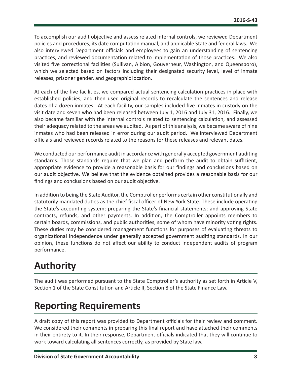<span id="page-8-0"></span>To accomplish our audit objective and assess related internal controls, we reviewed Department policies and procedures, its date computation manual, and applicable State and federal laws. We also interviewed Department officials and employees to gain an understanding of sentencing practices, and reviewed documentation related to implementation of those practices. We also visited five correctional facilities (Sullivan, Albion, Gouverneur, Washington, and Queensboro), which we selected based on factors including their designated security level, level of inmate releases, prisoner gender, and geographic location.

At each of the five facilities, we compared actual sentencing calculation practices in place with established policies, and then used original records to recalculate the sentences and release dates of a dozen inmates. At each facility, our samples included five inmates in custody on the visit date and seven who had been released between July 1, 2016 and July 31, 2016. Finally, we also became familiar with the internal controls related to sentencing calculation, and assessed their adequacy related to the areas we audited. As part of this analysis, we became aware of nine inmates who had been released in error during our audit period. We interviewed Department officials and reviewed records related to the reasons for these releases and relevant dates.

We conducted our performance audit in accordance with generally accepted government auditing standards. Those standards require that we plan and perform the audit to obtain sufficient, appropriate evidence to provide a reasonable basis for our findings and conclusions based on our audit objective. We believe that the evidence obtained provides a reasonable basis for our findings and conclusions based on our audit objective.

In addition to being the State Auditor, the Comptroller performs certain other constitutionally and statutorily mandated duties as the chief fiscal officer of New York State. These include operating the State's accounting system; preparing the State's financial statements; and approving State contracts, refunds, and other payments. In addition, the Comptroller appoints members to certain boards, commissions, and public authorities, some of whom have minority voting rights. These duties may be considered management functions for purposes of evaluating threats to organizational independence under generally accepted government auditing standards. In our opinion, these functions do not affect our ability to conduct independent audits of program performance.

# **Authority**

The audit was performed pursuant to the State Comptroller's authority as set forth in Article V, Section 1 of the State Constitution and Article II, Section 8 of the State Finance Law.

# **Reporting Requirements**

A draft copy of this report was provided to Department officials for their review and comment. We considered their comments in preparing this final report and have attached their comments in their entirety to it. In their response, Department officials indicated that they will continue to work toward calculating all sentences correctly, as provided by State law.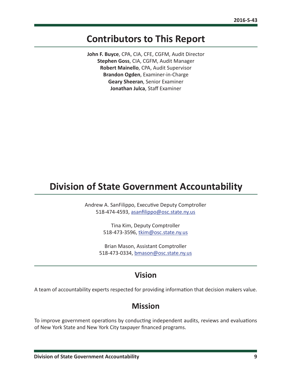## <span id="page-9-0"></span>**Contributors to This Report**

**John F. Buyce**, CPA, CIA, CFE, CGFM, Audit Director **Stephen Goss**, CIA, CGFM, Audit Manager **Robert Mainello**, CPA, Audit Supervisor **Brandon Ogden**, Examiner-in-Charge **Geary Sheeran**, Senior Examiner **Jonathan Julca**, Staff Examiner

## **Division of State Government Accountability**

Andrew A. SanFilippo, Executive Deputy Comptroller 518-474-4593, [asanfilippo@osc.state.ny.us](mailto:asanfilippo%40osc.state.ny.us%0D?subject=)

> Tina Kim, Deputy Comptroller 518-473-3596, [tkim@osc.state.ny.us](mailto:tkim%40osc.state.ny.us?subject=)

Brian Mason, Assistant Comptroller 518-473-0334, [bmason@osc.state.ny.us](mailto:bmason%40osc.state.ny.us?subject=)

## **Vision**

A team of accountability experts respected for providing information that decision makers value.

## **Mission**

To improve government operations by conducting independent audits, reviews and evaluations of New York State and New York City taxpayer financed programs.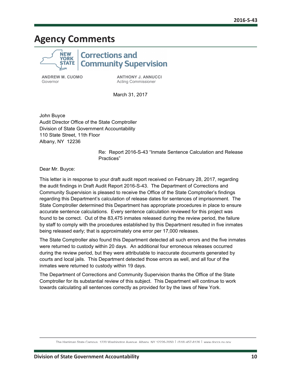## <span id="page-10-0"></span>**Agency Comments**



**Corrections and Community Supervision** 

**ANDREW M. CUOMO**  Governor

**ANTHONY J. ANNUCCI**  Acting Commissioner

March 31, 2017

John Buyce Audit Director Office of the State Comptroller Division of State Government Accountability 110 State Street, 11th Floor Albany, NY 12236

> Re: Report 2016-S-43 "Inmate Sentence Calculation and Release Practices"

Dear Mr. Buyce:

This letter is in response to your draft audit report received on February 28, 2017, regarding the audit findings in Draft Audit Report 2016-S-43. The Department of Corrections and Community Supervision is pleased to receive the Office of the State Comptroller's findings regarding this Department's calculation of release dates for sentences of imprisonment. The State Comptroller determined this Department has appropriate procedures in place to ensure accurate sentence calculations. Every sentence calculation reviewed for this project was found to be correct. Out of the 83,475 inmates released during the review period, the failure by staff to comply with the procedures established by this Department resulted in five inmates being released early; that is approximately one error per 17,000 releases.

The State Comptroller also found this Department detected all such errors and the five inmates were returned to custody within 20 days. An additional four erroneous releases occurred during the review period, but they were attributable to inaccurate documents generated by courts and local jails. This Department detected those errors as well, and all four of the inmates were returned to custody within 19 days.

The Department of Corrections and Community Supervision thanks the Office of the State Comptroller for its substantial review of this subject. This Department will continue to work towards calculating all sentences correctly as provided for by the laws of New York.

The Harriman State Campus, 1220 Washington Avenue, Albany, NY 12226-2050 │ (518) 457-8126 │ www.doccs.ny.gov